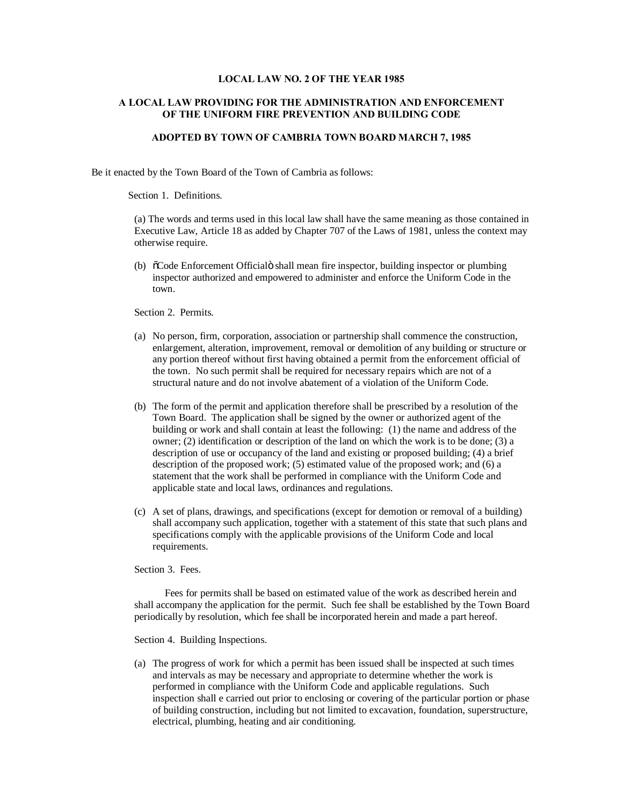# **LOCAL LAW NO. 2 OF THE YEAR 1985**

# **A LOCAL LAW PROVIDING FOR THE ADMINISTRATION AND ENFORCEMENT OF THE UNIFORM FIRE PREVENTION AND BUILDING CODE**

# **ADOPTED BY TOWN OF CAMBRIA TOWN BOARD MARCH 7, 1985**

Be it enacted by the Town Board of the Town of Cambria as follows:

Section 1. Definitions.

(a) The words and terms used in this local law shall have the same meaning as those contained in Executive Law, Article 18 as added by Chapter 707 of the Laws of 1981, unless the context may otherwise require.

(b)  $\tilde{\text{c}$ Code Enforcement Official shall mean fire inspector, building inspector or plumbing inspector authorized and empowered to administer and enforce the Uniform Code in the town.

Section 2. Permits.

- (a) No person, firm, corporation, association or partnership shall commence the construction, enlargement, alteration, improvement, removal or demolition of any building or structure or any portion thereof without first having obtained a permit from the enforcement official of the town. No such permit shall be required for necessary repairs which are not of a structural nature and do not involve abatement of a violation of the Uniform Code.
- (b) The form of the permit and application therefore shall be prescribed by a resolution of the Town Board. The application shall be signed by the owner or authorized agent of the building or work and shall contain at least the following: (1) the name and address of the owner; (2) identification or description of the land on which the work is to be done; (3) a description of use or occupancy of the land and existing or proposed building; (4) a brief description of the proposed work; (5) estimated value of the proposed work; and (6) a statement that the work shall be performed in compliance with the Uniform Code and applicable state and local laws, ordinances and regulations.
- (c) A set of plans, drawings, and specifications (except for demotion or removal of a building) shall accompany such application, together with a statement of this state that such plans and specifications comply with the applicable provisions of the Uniform Code and local requirements.

Section 3. Fees.

Fees for permits shall be based on estimated value of the work as described herein and shall accompany the application for the permit. Such fee shall be established by the Town Board periodically by resolution, which fee shall be incorporated herein and made a part hereof.

Section 4. Building Inspections.

(a) The progress of work for which a permit has been issued shall be inspected at such times and intervals as may be necessary and appropriate to determine whether the work is performed in compliance with the Uniform Code and applicable regulations. Such inspection shall e carried out prior to enclosing or covering of the particular portion or phase of building construction, including but not limited to excavation, foundation, superstructure, electrical, plumbing, heating and air conditioning.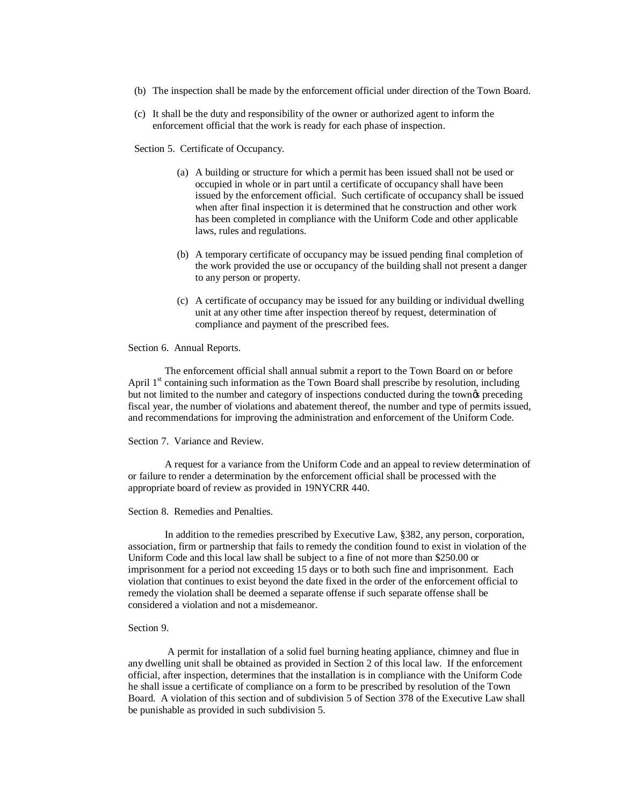- (b) The inspection shall be made by the enforcement official under direction of the Town Board.
- (c) It shall be the duty and responsibility of the owner or authorized agent to inform the enforcement official that the work is ready for each phase of inspection.

Section 5. Certificate of Occupancy.

- (a) A building or structure for which a permit has been issued shall not be used or occupied in whole or in part until a certificate of occupancy shall have been issued by the enforcement official. Such certificate of occupancy shall be issued when after final inspection it is determined that he construction and other work has been completed in compliance with the Uniform Code and other applicable laws, rules and regulations.
- (b) A temporary certificate of occupancy may be issued pending final completion of the work provided the use or occupancy of the building shall not present a danger to any person or property.
- (c) A certificate of occupancy may be issued for any building or individual dwelling unit at any other time after inspection thereof by request, determination of compliance and payment of the prescribed fees.

Section 6. Annual Reports.

The enforcement official shall annual submit a report to the Town Board on or before April  $1<sup>st</sup>$  containing such information as the Town Board shall prescribe by resolution, including but not limited to the number and category of inspections conducted during the town $\alpha$  preceding fiscal year, the number of violations and abatement thereof, the number and type of permits issued, and recommendations for improving the administration and enforcement of the Uniform Code.

Section 7. Variance and Review.

A request for a variance from the Uniform Code and an appeal to review determination of or failure to render a determination by the enforcement official shall be processed with the appropriate board of review as provided in 19NYCRR 440.

#### Section 8. Remedies and Penalties.

In addition to the remedies prescribed by Executive Law, §382, any person, corporation, association, firm or partnership that fails to remedy the condition found to exist in violation of the Uniform Code and this local law shall be subject to a fine of not more than \$250.00 or imprisonment for a period not exceeding 15 days or to both such fine and imprisonment. Each violation that continues to exist beyond the date fixed in the order of the enforcement official to remedy the violation shall be deemed a separate offense if such separate offense shall be considered a violation and not a misdemeanor.

#### Section 9.

A permit for installation of a solid fuel burning heating appliance, chimney and flue in any dwelling unit shall be obtained as provided in Section 2 of this local law. If the enforcement official, after inspection, determines that the installation is in compliance with the Uniform Code he shall issue a certificate of compliance on a form to be prescribed by resolution of the Town Board. A violation of this section and of subdivision 5 of Section 378 of the Executive Law shall be punishable as provided in such subdivision 5.